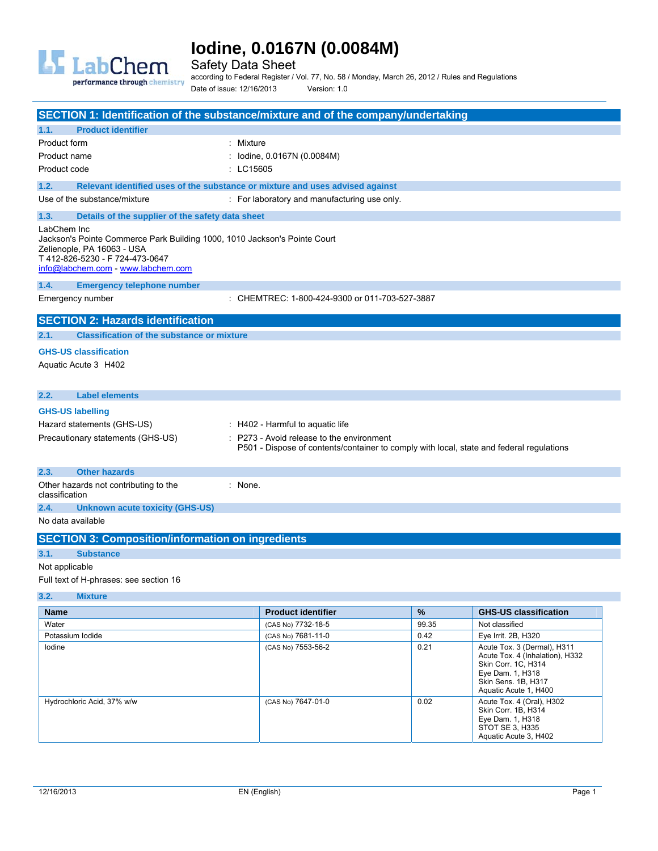

Safety Data Sheet

performance through chemistry

according to Federal Register / Vol. 77, No. 58 / Monday, March 26, 2012 / Rules and Regulations Date of issue: 12/16/2013 Version: 1.0

| <b>SECTION 1: Identification of the substance/mixture and of the company/undertaking</b>                                                                                                      |                                                                                          |       |                                                                                       |
|-----------------------------------------------------------------------------------------------------------------------------------------------------------------------------------------------|------------------------------------------------------------------------------------------|-------|---------------------------------------------------------------------------------------|
| <b>Product identifier</b><br>1.1.                                                                                                                                                             |                                                                                          |       |                                                                                       |
| Product form                                                                                                                                                                                  | : Mixture                                                                                |       |                                                                                       |
| Product name                                                                                                                                                                                  | lodine, 0.0167N (0.0084M)                                                                |       |                                                                                       |
| Product code                                                                                                                                                                                  | : LC15605                                                                                |       |                                                                                       |
| 1.2.                                                                                                                                                                                          | Relevant identified uses of the substance or mixture and uses advised against            |       |                                                                                       |
| Use of the substance/mixture                                                                                                                                                                  | : For laboratory and manufacturing use only.                                             |       |                                                                                       |
| 1.3.<br>Details of the supplier of the safety data sheet                                                                                                                                      |                                                                                          |       |                                                                                       |
| LabChem Inc<br>Jackson's Pointe Commerce Park Building 1000, 1010 Jackson's Pointe Court<br>Zelienople, PA 16063 - USA<br>T412-826-5230 - F724-473-0647<br>info@labchem.com - www.labchem.com |                                                                                          |       |                                                                                       |
| 1.4.<br><b>Emergency telephone number</b>                                                                                                                                                     |                                                                                          |       |                                                                                       |
| Emergency number                                                                                                                                                                              | : CHEMTREC: 1-800-424-9300 or 011-703-527-3887                                           |       |                                                                                       |
| <b>SECTION 2: Hazards identification</b>                                                                                                                                                      |                                                                                          |       |                                                                                       |
| <b>Classification of the substance or mixture</b><br>2.1.                                                                                                                                     |                                                                                          |       |                                                                                       |
| <b>GHS-US classification</b>                                                                                                                                                                  |                                                                                          |       |                                                                                       |
| Aquatic Acute 3 H402                                                                                                                                                                          |                                                                                          |       |                                                                                       |
|                                                                                                                                                                                               |                                                                                          |       |                                                                                       |
| 2.2.<br><b>Label elements</b>                                                                                                                                                                 |                                                                                          |       |                                                                                       |
| <b>GHS-US labelling</b>                                                                                                                                                                       |                                                                                          |       |                                                                                       |
| Hazard statements (GHS-US)                                                                                                                                                                    | : H402 - Harmful to aquatic life                                                         |       |                                                                                       |
| Precautionary statements (GHS-US)                                                                                                                                                             | : P273 - Avoid release to the environment                                                |       |                                                                                       |
|                                                                                                                                                                                               | P501 - Dispose of contents/container to comply with local, state and federal regulations |       |                                                                                       |
| <b>Other hazards</b><br>2.3.                                                                                                                                                                  |                                                                                          |       |                                                                                       |
| Other hazards not contributing to the                                                                                                                                                         | : None.                                                                                  |       |                                                                                       |
| classification                                                                                                                                                                                |                                                                                          |       |                                                                                       |
| 2.4.<br>Unknown acute toxicity (GHS-US)                                                                                                                                                       |                                                                                          |       |                                                                                       |
| No data available                                                                                                                                                                             |                                                                                          |       |                                                                                       |
| <b>SECTION 3: Composition/information on ingredients</b>                                                                                                                                      |                                                                                          |       |                                                                                       |
| 3.1.<br><b>Substance</b>                                                                                                                                                                      |                                                                                          |       |                                                                                       |
| Not applicable                                                                                                                                                                                |                                                                                          |       |                                                                                       |
| Full text of H-phrases: see section 16                                                                                                                                                        |                                                                                          |       |                                                                                       |
| 3.2.<br><b>Mixture</b>                                                                                                                                                                        |                                                                                          |       |                                                                                       |
| <b>Name</b>                                                                                                                                                                                   | <b>Product identifier</b>                                                                | $\%$  | <b>GHS-US classification</b>                                                          |
| Water                                                                                                                                                                                         | (CAS No) 7732-18-5                                                                       | 99.35 | Not classified                                                                        |
| Potassium lodide                                                                                                                                                                              | (CAS No) 7681-11-0                                                                       | 0.42  | Eye Irrit. 2B, H320                                                                   |
| lodine                                                                                                                                                                                        | (CAS No) 7553-56-2                                                                       | 0.21  | Acute Tox. 3 (Dermal), H311<br>Acute Tox. 4 (Inhalation), H332<br>Skin Corr. 1C, H314 |

|                            |                    |      | <b>ONII UUII. TU. NJI4</b><br>Eye Dam. 1, H318<br>Skin Sens. 1B, H317<br>Aquatic Acute 1, H400                   |
|----------------------------|--------------------|------|------------------------------------------------------------------------------------------------------------------|
| Hydrochloric Acid, 37% w/w | (CAS No) 7647-01-0 | 0.02 | Acute Tox. 4 (Oral), H302<br>Skin Corr. 1B, H314<br>Eye Dam. 1, H318<br>STOT SE 3, H335<br>Aquatic Acute 3, H402 |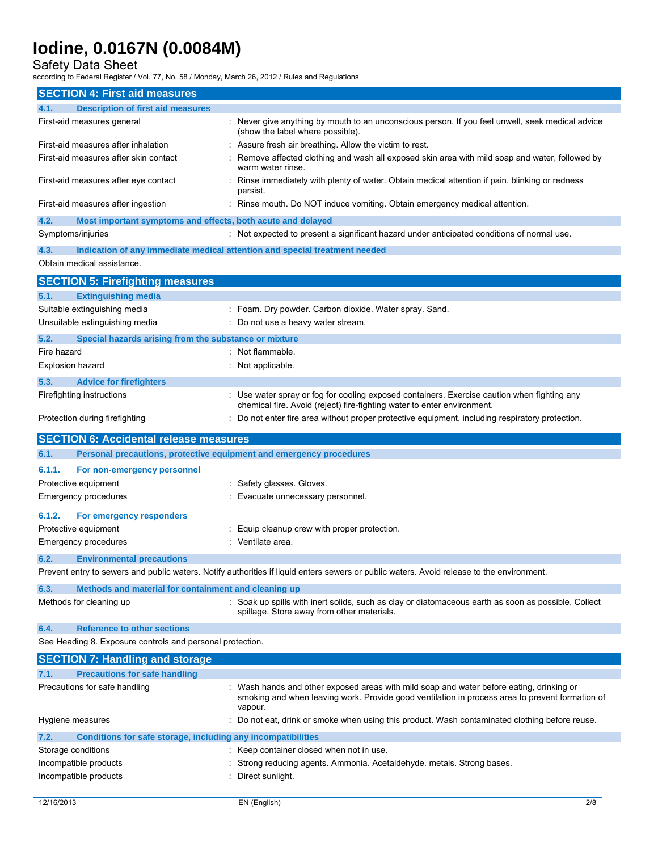Safety Data Sheet

| <b>SECTION 4: First aid measures</b>                                               |                                                                                                                                                                                                      |
|------------------------------------------------------------------------------------|------------------------------------------------------------------------------------------------------------------------------------------------------------------------------------------------------|
| 4.1.<br><b>Description of first aid measures</b>                                   |                                                                                                                                                                                                      |
| First-aid measures general                                                         | : Never give anything by mouth to an unconscious person. If you feel unwell, seek medical advice<br>(show the label where possible).                                                                 |
| First-aid measures after inhalation                                                | : Assure fresh air breathing. Allow the victim to rest.                                                                                                                                              |
| First-aid measures after skin contact                                              | Remove affected clothing and wash all exposed skin area with mild soap and water, followed by<br>warm water rinse.                                                                                   |
| First-aid measures after eye contact                                               | Rinse immediately with plenty of water. Obtain medical attention if pain, blinking or redness<br>persist.                                                                                            |
| First-aid measures after ingestion                                                 | : Rinse mouth. Do NOT induce vomiting. Obtain emergency medical attention.                                                                                                                           |
| 4.2.<br>Most important symptoms and effects, both acute and delayed                |                                                                                                                                                                                                      |
| Symptoms/injuries                                                                  | : Not expected to present a significant hazard under anticipated conditions of normal use.                                                                                                           |
| 4.3.<br>Indication of any immediate medical attention and special treatment needed |                                                                                                                                                                                                      |
| Obtain medical assistance.                                                         |                                                                                                                                                                                                      |
| <b>SECTION 5: Firefighting measures</b>                                            |                                                                                                                                                                                                      |
| <b>Extinguishing media</b><br>5.1.                                                 |                                                                                                                                                                                                      |
| Suitable extinguishing media                                                       | : Foam. Dry powder. Carbon dioxide. Water spray. Sand.                                                                                                                                               |
| Unsuitable extinguishing media                                                     | : Do not use a heavy water stream.                                                                                                                                                                   |
| 5.2.<br>Special hazards arising from the substance or mixture                      |                                                                                                                                                                                                      |
| Fire hazard                                                                        | : Not flammable.                                                                                                                                                                                     |
| <b>Explosion hazard</b>                                                            | : Not applicable.                                                                                                                                                                                    |
| 5.3.<br><b>Advice for firefighters</b>                                             |                                                                                                                                                                                                      |
| Firefighting instructions                                                          | : Use water spray or fog for cooling exposed containers. Exercise caution when fighting any                                                                                                          |
|                                                                                    | chemical fire. Avoid (reject) fire-fighting water to enter environment.                                                                                                                              |
| Protection during firefighting                                                     | : Do not enter fire area without proper protective equipment, including respiratory protection.                                                                                                      |
| <b>SECTION 6: Accidental release measures</b>                                      |                                                                                                                                                                                                      |
|                                                                                    |                                                                                                                                                                                                      |
|                                                                                    |                                                                                                                                                                                                      |
| Personal precautions, protective equipment and emergency procedures<br>6.1.        |                                                                                                                                                                                                      |
| 6.1.1.<br>For non-emergency personnel                                              |                                                                                                                                                                                                      |
| Protective equipment                                                               | Safety glasses. Gloves.                                                                                                                                                                              |
| <b>Emergency procedures</b>                                                        | Evacuate unnecessary personnel.                                                                                                                                                                      |
| 6.1.2.<br>For emergency responders                                                 |                                                                                                                                                                                                      |
| Protective equipment                                                               | Equip cleanup crew with proper protection.                                                                                                                                                           |
| <b>Emergency procedures</b>                                                        | : Ventilate area.                                                                                                                                                                                    |
| 6.2.<br><b>Environmental precautions</b>                                           |                                                                                                                                                                                                      |
|                                                                                    | Prevent entry to sewers and public waters. Notify authorities if liquid enters sewers or public waters. Avoid release to the environment.                                                            |
| 6.3.<br>Methods and material for containment and cleaning up                       |                                                                                                                                                                                                      |
| Methods for cleaning up                                                            | : Soak up spills with inert solids, such as clay or diatomaceous earth as soon as possible. Collect<br>spillage. Store away from other materials.                                                    |
|                                                                                    |                                                                                                                                                                                                      |
| 6.4.<br><b>Reference to other sections</b>                                         |                                                                                                                                                                                                      |
| See Heading 8. Exposure controls and personal protection.                          |                                                                                                                                                                                                      |
| <b>SECTION 7: Handling and storage</b>                                             |                                                                                                                                                                                                      |
| <b>Precautions for safe handling</b><br>7.1.                                       |                                                                                                                                                                                                      |
| Precautions for safe handling                                                      | Wash hands and other exposed areas with mild soap and water before eating, drinking or<br>smoking and when leaving work. Provide good ventilation in process area to prevent formation of<br>vapour. |
| Hygiene measures                                                                   | Do not eat, drink or smoke when using this product. Wash contaminated clothing before reuse.                                                                                                         |
| 7.2.<br>Conditions for safe storage, including any incompatibilities               |                                                                                                                                                                                                      |
| Storage conditions                                                                 | : Keep container closed when not in use.                                                                                                                                                             |
| Incompatible products                                                              | Strong reducing agents. Ammonia. Acetaldehyde. metals. Strong bases.                                                                                                                                 |
| Incompatible products                                                              | Direct sunlight.                                                                                                                                                                                     |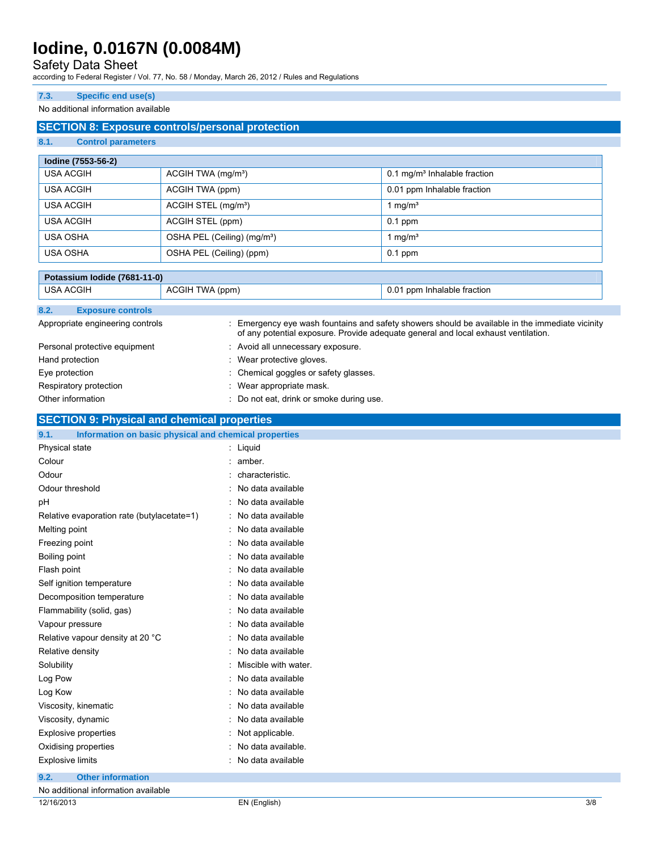### Safety Data Sheet

according to Federal Register / Vol. 77, No. 58 / Monday, March 26, 2012 / Rules and Regulations

#### **7.3. Specific end use(s)**

#### No additional information available

### **SECTION 8: Exposure controls/personal protection**

### **8.1. Control parameters**

| lodine (7553-56-2) |                                         |                                            |  |
|--------------------|-----------------------------------------|--------------------------------------------|--|
| USA ACGIH          | $ACGIH TWA$ (mg/m <sup>3</sup> )        | $0.1$ mg/m <sup>3</sup> Inhalable fraction |  |
| USA ACGIH          | ACGIH TWA (ppm)                         | 0.01 ppm Inhalable fraction                |  |
| USA ACGIH          | ACGIH STEL (mg/m <sup>3</sup> )         | 1 mg/m $^3$                                |  |
| USA ACGIH          | ACGIH STEL (ppm)                        | $0.1$ ppm                                  |  |
| USA OSHA           | OSHA PEL (Ceiling) (mg/m <sup>3</sup> ) | l mg/m <sup>3</sup>                        |  |
| <b>USA OSHA</b>    | OSHA PEL (Ceiling) (ppm)                | $0.1$ ppm                                  |  |

| Potassium Iodide (7681-11-0)     |                                          |                                                                                                                                                                                     |
|----------------------------------|------------------------------------------|-------------------------------------------------------------------------------------------------------------------------------------------------------------------------------------|
| <b>USA ACGIH</b>                 | ACGIH TWA (ppm)                          | 0.01 ppm Inhalable fraction                                                                                                                                                         |
| 8.2.<br><b>Exposure controls</b> |                                          |                                                                                                                                                                                     |
| Appropriate engineering controls |                                          | Emergency eye wash fountains and safety showers should be available in the immediate vicinity<br>of any potential exposure. Provide adequate general and local exhaust ventilation. |
| Personal protective equipment    | : Avoid all unnecessary exposure.        |                                                                                                                                                                                     |
| Hand protection                  | : Wear protective gloves.                |                                                                                                                                                                                     |
| Eye protection                   | : Chemical goggles or safety glasses.    |                                                                                                                                                                                     |
| Respiratory protection           | : Wear appropriate mask.                 |                                                                                                                                                                                     |
| Other information                | : Do not eat, drink or smoke during use. |                                                                                                                                                                                     |

### **SECTION 9: Physical and chemical properties**

| 9.1.<br>Information on basic physical and chemical properties |                        |
|---------------------------------------------------------------|------------------------|
| Physical state                                                | : Liquid               |
| Colour                                                        | : amber.               |
| Odour                                                         | : characteristic.      |
| Odour threshold                                               | : No data available    |
| pH                                                            | : No data available    |
| Relative evaporation rate (butylacetate=1)                    | : No data available    |
| Melting point                                                 | : No data available    |
| Freezing point                                                | : No data available    |
| Boiling point                                                 | : No data available    |
| Flash point                                                   | : No data available    |
| Self ignition temperature                                     | : No data available    |
| Decomposition temperature                                     | : No data available    |
| Flammability (solid, gas)                                     | : No data available    |
| Vapour pressure                                               | : No data available    |
| Relative vapour density at 20 °C                              | : No data available    |
| Relative density                                              | : No data available    |
| Solubility                                                    | : Miscible with water. |
| Log Pow                                                       | : No data available    |
| Log Kow                                                       | : No data available    |
| Viscosity, kinematic                                          | : No data available    |
| Viscosity, dynamic                                            | : No data available    |
| <b>Explosive properties</b>                                   | : Not applicable.      |
| Oxidising properties                                          | : No data available.   |
| <b>Explosive limits</b>                                       | : No data available    |
| <b>Other information</b><br>9.2.                              |                        |

| No additional information available |              |     |
|-------------------------------------|--------------|-----|
| 12/16/2013                          | -N (English, | 3/8 |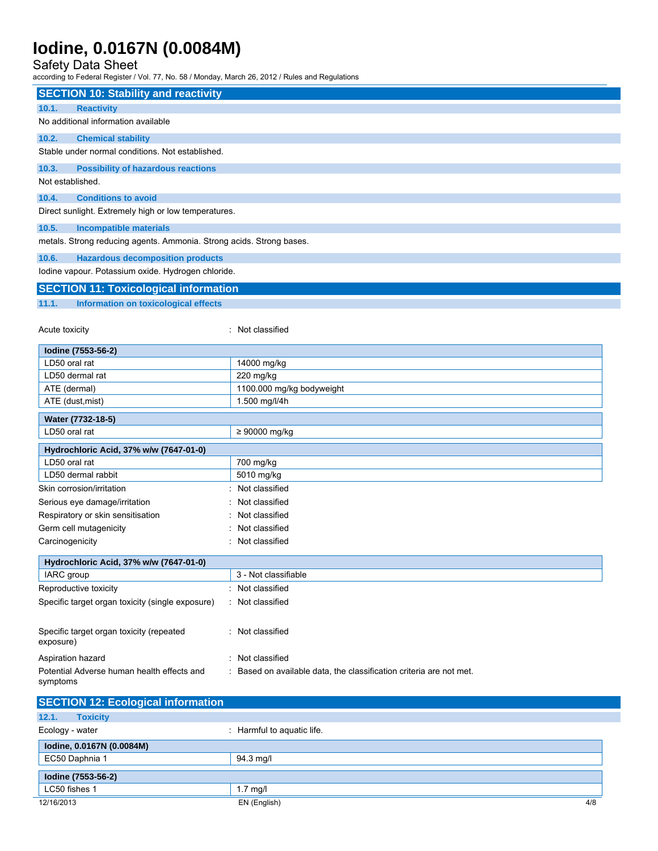### Safety Data Sheet

| <b>SECTION 10: Stability and reactivity</b>                          |                                                                     |
|----------------------------------------------------------------------|---------------------------------------------------------------------|
| 10.1.<br><b>Reactivity</b>                                           |                                                                     |
| No additional information available                                  |                                                                     |
| 10.2.<br><b>Chemical stability</b>                                   |                                                                     |
| Stable under normal conditions. Not established.                     |                                                                     |
| 10.3.<br><b>Possibility of hazardous reactions</b>                   |                                                                     |
| Not established.                                                     |                                                                     |
| 10.4.<br><b>Conditions to avoid</b>                                  |                                                                     |
| Direct sunlight. Extremely high or low temperatures.                 |                                                                     |
|                                                                      |                                                                     |
| 10.5.<br><b>Incompatible materials</b>                               |                                                                     |
| metals. Strong reducing agents. Ammonia. Strong acids. Strong bases. |                                                                     |
| 10.6.<br><b>Hazardous decomposition products</b>                     |                                                                     |
| lodine vapour. Potassium oxide. Hydrogen chloride.                   |                                                                     |
| <b>SECTION 11: Toxicological information</b>                         |                                                                     |
| 11.1.<br>Information on toxicological effects                        |                                                                     |
|                                                                      |                                                                     |
| Acute toxicity                                                       | : Not classified                                                    |
|                                                                      |                                                                     |
| lodine (7553-56-2)                                                   |                                                                     |
| LD50 oral rat<br>LD50 dermal rat                                     | 14000 mg/kg<br>220 mg/kg                                            |
| ATE (dermal)                                                         | 1100.000 mg/kg bodyweight                                           |
| ATE (dust, mist)                                                     | 1.500 mg/l/4h                                                       |
|                                                                      |                                                                     |
| Water (7732-18-5)                                                    |                                                                     |
| LD50 oral rat                                                        | ≥ 90000 mg/kg                                                       |
| Hydrochloric Acid, 37% w/w (7647-01-0)                               |                                                                     |
| LD50 oral rat                                                        | 700 mg/kg                                                           |
| LD50 dermal rabbit                                                   | 5010 mg/kg                                                          |
| Skin corrosion/irritation                                            | : Not classified                                                    |
| Serious eye damage/irritation                                        | : Not classified                                                    |
| Respiratory or skin sensitisation                                    | : Not classified                                                    |
| Germ cell mutagenicity                                               | : Not classified                                                    |
| Carcinogenicity                                                      | : Not classified                                                    |
| Hydrochloric Acid, 37% w/w (7647-01-0)                               |                                                                     |
| IARC group                                                           | 3 - Not classifiable                                                |
| Reproductive toxicity                                                | : Not classified                                                    |
| Specific target organ toxicity (single exposure)                     | : Not classified                                                    |
|                                                                      |                                                                     |
| Specific target organ toxicity (repeated                             | : Not classified                                                    |
| exposure)                                                            |                                                                     |
| Aspiration hazard                                                    | : Not classified                                                    |
| Potential Adverse human health effects and                           | : Based on available data, the classification criteria are not met. |
| symptoms                                                             |                                                                     |
|                                                                      |                                                                     |
| <b>SECTION 12: Ecological information</b>                            |                                                                     |
| 12.1.<br><b>Toxicity</b>                                             |                                                                     |
| Ecology - water                                                      | : Harmful to aquatic life.                                          |
| lodine, 0.0167N (0.0084M)                                            |                                                                     |
| EC50 Daphnia 1                                                       | 94.3 mg/l                                                           |
| lodine (7553-56-2)                                                   |                                                                     |
| LC50 fishes 1                                                        | $1.7$ mg/l                                                          |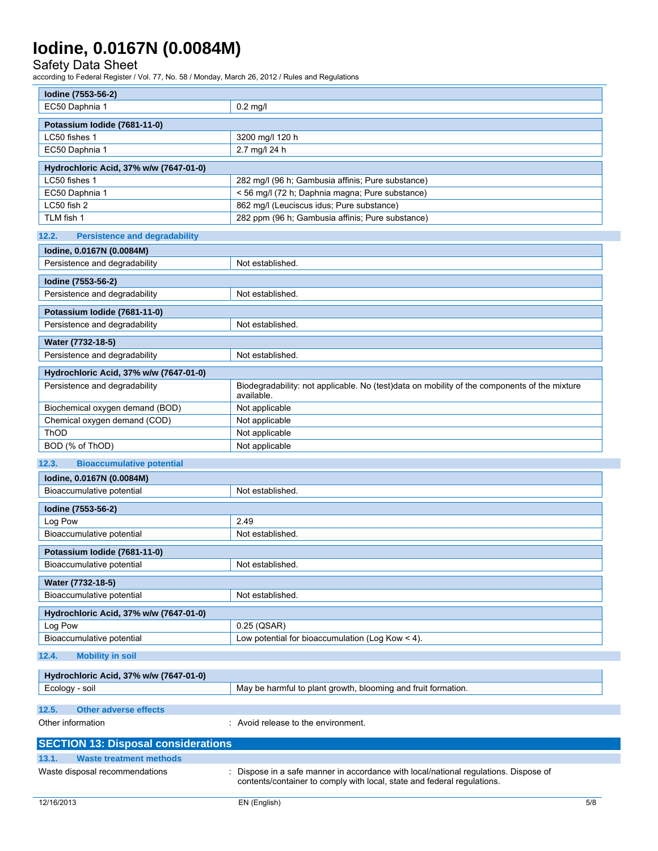Safety Data Sheet

| Iodine (7553-56-2)                                      |                                                                                                                                                               |
|---------------------------------------------------------|---------------------------------------------------------------------------------------------------------------------------------------------------------------|
| EC50 Daphnia 1                                          | $0.2$ mg/l                                                                                                                                                    |
| Potassium Iodide (7681-11-0)                            |                                                                                                                                                               |
| LC50 fishes 1                                           | 3200 mg/l 120 h                                                                                                                                               |
| EC50 Daphnia 1                                          | 2.7 mg/l 24 h                                                                                                                                                 |
|                                                         |                                                                                                                                                               |
| Hydrochloric Acid, 37% w/w (7647-01-0)<br>LC50 fishes 1 |                                                                                                                                                               |
| EC50 Daphnia 1                                          | 282 mg/l (96 h; Gambusia affinis; Pure substance)                                                                                                             |
| LC50 fish 2                                             | < 56 mg/l (72 h; Daphnia magna; Pure substance)<br>862 mg/l (Leuciscus idus; Pure substance)                                                                  |
| TLM fish 1                                              | 282 ppm (96 h; Gambusia affinis; Pure substance)                                                                                                              |
|                                                         |                                                                                                                                                               |
| 12.2.<br><b>Persistence and degradability</b>           |                                                                                                                                                               |
| lodine, 0.0167N (0.0084M)                               |                                                                                                                                                               |
| Persistence and degradability                           | Not established.                                                                                                                                              |
| Iodine (7553-56-2)                                      |                                                                                                                                                               |
| Persistence and degradability                           | Not established.                                                                                                                                              |
| Potassium Iodide (7681-11-0)                            |                                                                                                                                                               |
| Persistence and degradability                           | Not established.                                                                                                                                              |
|                                                         |                                                                                                                                                               |
| Water (7732-18-5)                                       |                                                                                                                                                               |
| Persistence and degradability                           | Not established.                                                                                                                                              |
| Hydrochloric Acid, 37% w/w (7647-01-0)                  |                                                                                                                                                               |
| Persistence and degradability                           | Biodegradability: not applicable. No (test)data on mobility of the components of the mixture<br>available.                                                    |
| Biochemical oxygen demand (BOD)                         | Not applicable                                                                                                                                                |
| Chemical oxygen demand (COD)                            | Not applicable                                                                                                                                                |
| ThOD                                                    | Not applicable                                                                                                                                                |
| BOD (% of ThOD)                                         | Not applicable                                                                                                                                                |
| 12.3.<br><b>Bioaccumulative potential</b>               |                                                                                                                                                               |
| lodine, 0.0167N (0.0084M)                               |                                                                                                                                                               |
| Bioaccumulative potential                               | Not established.                                                                                                                                              |
| Iodine (7553-56-2)                                      |                                                                                                                                                               |
| Log Pow                                                 | 2.49                                                                                                                                                          |
| Bioaccumulative potential                               | Not established.                                                                                                                                              |
|                                                         |                                                                                                                                                               |
| Potassium Iodide (7681-11-0)                            |                                                                                                                                                               |
| Bioaccumulative potential                               | Not established.                                                                                                                                              |
| Water (7732-18-5)                                       |                                                                                                                                                               |
| Bioaccumulative potential                               | Not established.                                                                                                                                              |
| Hydrochloric Acid, 37% w/w (7647-01-0)                  |                                                                                                                                                               |
| Log Pow                                                 | 0.25 (QSAR)                                                                                                                                                   |
| Bioaccumulative potential                               | Low potential for bioaccumulation (Log Kow < 4).                                                                                                              |
| 12.4.<br><b>Mobility in soil</b>                        |                                                                                                                                                               |
| Hydrochloric Acid, 37% w/w (7647-01-0)                  |                                                                                                                                                               |
| Ecology - soil                                          | May be harmful to plant growth, blooming and fruit formation.                                                                                                 |
|                                                         |                                                                                                                                                               |
| 12.5.<br><b>Other adverse effects</b>                   |                                                                                                                                                               |
| Other information                                       | : Avoid release to the environment.                                                                                                                           |
| <b>SECTION 13: Disposal considerations</b>              |                                                                                                                                                               |
| 13.1.<br><b>Waste treatment methods</b>                 |                                                                                                                                                               |
| Waste disposal recommendations                          | Dispose in a safe manner in accordance with local/national regulations. Dispose of<br>contents/container to comply with local, state and federal regulations. |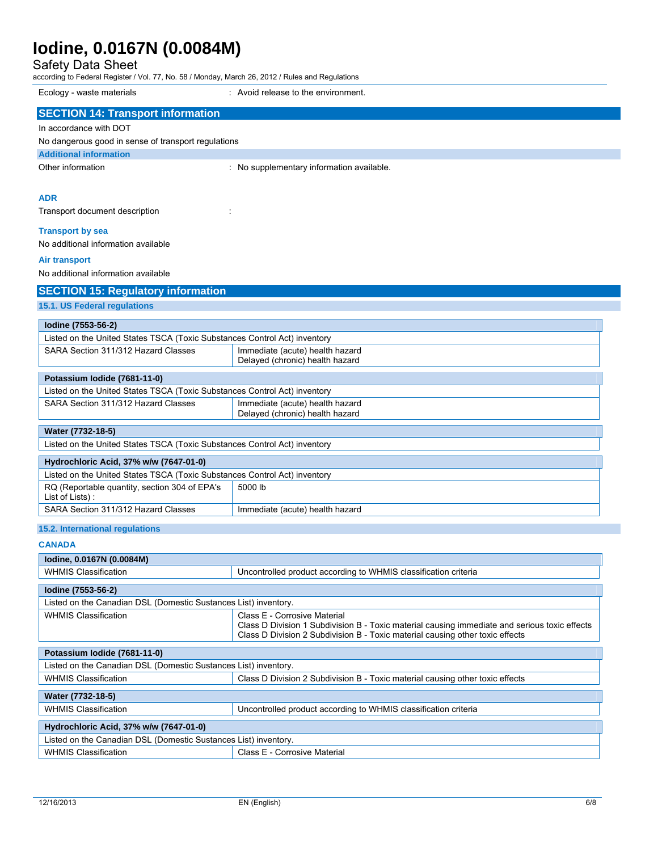Safety Data Sheet

| Ecology - waste materials                                                 | : Avoid release to the environment.                                                           |
|---------------------------------------------------------------------------|-----------------------------------------------------------------------------------------------|
| <b>SECTION 14: Transport information</b>                                  |                                                                                               |
| In accordance with DOT                                                    |                                                                                               |
| No dangerous good in sense of transport regulations                       |                                                                                               |
| <b>Additional information</b>                                             |                                                                                               |
| Other information                                                         | : No supplementary information available.                                                     |
|                                                                           |                                                                                               |
| <b>ADR</b>                                                                |                                                                                               |
| Transport document description                                            |                                                                                               |
|                                                                           |                                                                                               |
| <b>Transport by sea</b><br>No additional information available            |                                                                                               |
|                                                                           |                                                                                               |
| <b>Air transport</b>                                                      |                                                                                               |
| No additional information available                                       |                                                                                               |
| <b>SECTION 15: Regulatory information</b>                                 |                                                                                               |
| 15.1. US Federal regulations                                              |                                                                                               |
| Iodine (7553-56-2)                                                        |                                                                                               |
| Listed on the United States TSCA (Toxic Substances Control Act) inventory |                                                                                               |
| SARA Section 311/312 Hazard Classes                                       | Immediate (acute) health hazard                                                               |
|                                                                           | Delayed (chronic) health hazard                                                               |
| Potassium Iodide (7681-11-0)                                              |                                                                                               |
| Listed on the United States TSCA (Toxic Substances Control Act) inventory |                                                                                               |
| SARA Section 311/312 Hazard Classes                                       | Immediate (acute) health hazard                                                               |
|                                                                           | Delayed (chronic) health hazard                                                               |
| Water (7732-18-5)                                                         |                                                                                               |
| Listed on the United States TSCA (Toxic Substances Control Act) inventory |                                                                                               |
| Hydrochloric Acid, 37% w/w (7647-01-0)                                    |                                                                                               |
| Listed on the United States TSCA (Toxic Substances Control Act) inventory |                                                                                               |
| RQ (Reportable quantity, section 304 of EPA's                             | 5000 lb                                                                                       |
| List of Lists):                                                           |                                                                                               |
| SARA Section 311/312 Hazard Classes                                       | Immediate (acute) health hazard                                                               |
| 15.2. International regulations                                           |                                                                                               |
| <b>CANADA</b>                                                             |                                                                                               |
| lodine, 0.0167N (0.0084M)                                                 |                                                                                               |
| <b>WHMIS Classification</b>                                               | Uncontrolled product according to WHMIS classification criteria                               |
| Iodine (7553-56-2)                                                        |                                                                                               |
| Listed on the Canadian DSL (Domestic Sustances List) inventory.           |                                                                                               |
| <b>WHMIS Classification</b>                                               | Class E - Corrosive Material                                                                  |
|                                                                           | Class D Division 1 Subdivision B - Toxic material causing immediate and serious toxic effects |
|                                                                           | Class D Division 2 Subdivision B - Toxic material causing other toxic effects                 |
| Potassium Iodide (7681-11-0)                                              |                                                                                               |
| Listed on the Canadian DSL (Domestic Sustances List) inventory.           |                                                                                               |
| <b>WHMIS Classification</b>                                               | Class D Division 2 Subdivision B - Toxic material causing other toxic effects                 |
| Water (7732-18-5)                                                         |                                                                                               |
| <b>WHMIS Classification</b>                                               | Uncontrolled product according to WHMIS classification criteria                               |
|                                                                           |                                                                                               |
| Hydrochloric Acid, 37% w/w (7647-01-0)                                    |                                                                                               |
| Listed on the Canadian DSL (Domestic Sustances List) inventory.           |                                                                                               |
| <b>WHMIS Classification</b>                                               | Class E - Corrosive Material                                                                  |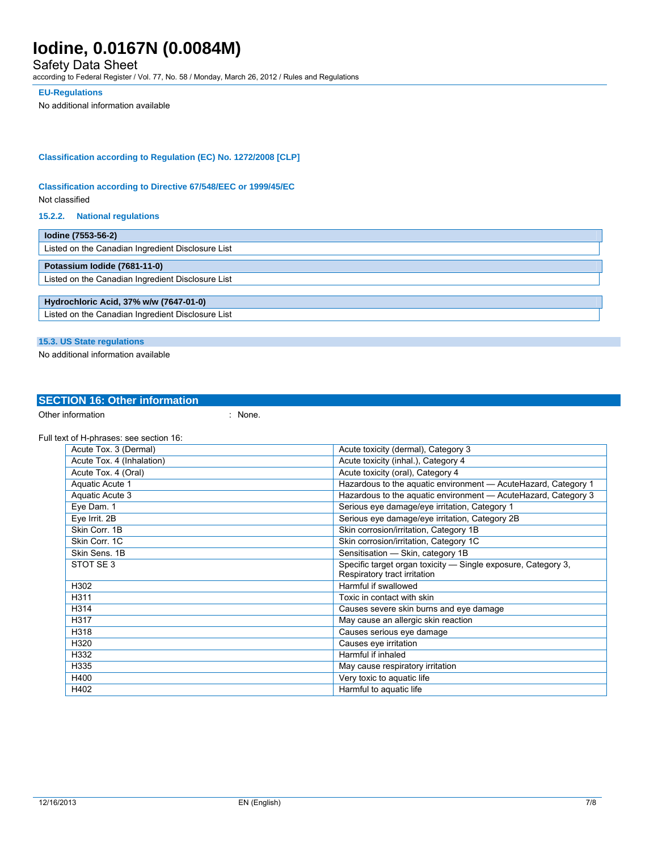### Safety Data Sheet

according to Federal Register / Vol. 77, No. 58 / Monday, March 26, 2012 / Rules and Regulations

#### **EU-Regulations**

No additional information available

### **Classification according to Regulation (EC) No. 1272/2008 [CLP]**

#### **Classification according to Directive 67/548/EEC or 1999/45/EC**

Not classified

#### **15.2.2. National regulations**

| lodine (7553-56-2)                                |  |  |
|---------------------------------------------------|--|--|
| Listed on the Canadian Ingredient Disclosure List |  |  |
| Potassium Iodide (7681-11-0)                      |  |  |
| Listed on the Canadian Ingredient Disclosure List |  |  |
|                                                   |  |  |
| Hydrochloric Acid, 37% w/w (7647-01-0)            |  |  |
| Listed on the Canadian Ingredient Disclosure List |  |  |

### **15.3. US State regulations**

No additional information available

## **SECTION 16: Other information**

Other information in the set of the set of the set of the set of the set of the set of the set of the set of the set of the set of the set of the set of the set of the set of the set of the set of the set of the set of the

Full text of H-phrases: see section 16:

| Acute Tox. 3 (Dermal)     | Acute toxicity (dermal), Category 3                             |
|---------------------------|-----------------------------------------------------------------|
| Acute Tox. 4 (Inhalation) | Acute toxicity (inhal.), Category 4                             |
| Acute Tox. 4 (Oral)       | Acute toxicity (oral), Category 4                               |
| Aquatic Acute 1           | Hazardous to the aguatic environment - Acute Hazard, Category 1 |
| Aquatic Acute 3           | Hazardous to the aquatic environment - Acute Hazard, Category 3 |
| Eye Dam. 1                | Serious eye damage/eye irritation, Category 1                   |
| Eye Irrit. 2B             | Serious eye damage/eye irritation, Category 2B                  |
| Skin Corr. 1B             | Skin corrosion/irritation, Category 1B                          |
| Skin Corr. 1C             | Skin corrosion/irritation, Category 1C                          |
| Skin Sens, 1B             | Sensitisation - Skin, category 1B                               |
| STOT SE 3                 | Specific target organ toxicity — Single exposure, Category 3,   |
|                           | Respiratory tract irritation                                    |
| H302                      | Harmful if swallowed                                            |
| H311                      | Toxic in contact with skin                                      |
| H314                      | Causes severe skin burns and eye damage                         |
| H317                      | May cause an allergic skin reaction                             |
| H318                      | Causes serious eye damage                                       |
| H320                      | Causes eye irritation                                           |
| H332                      | Harmful if inhaled                                              |
| H335                      | May cause respiratory irritation                                |
| H400                      | Very toxic to aquatic life                                      |
| H402                      | Harmful to aquatic life                                         |